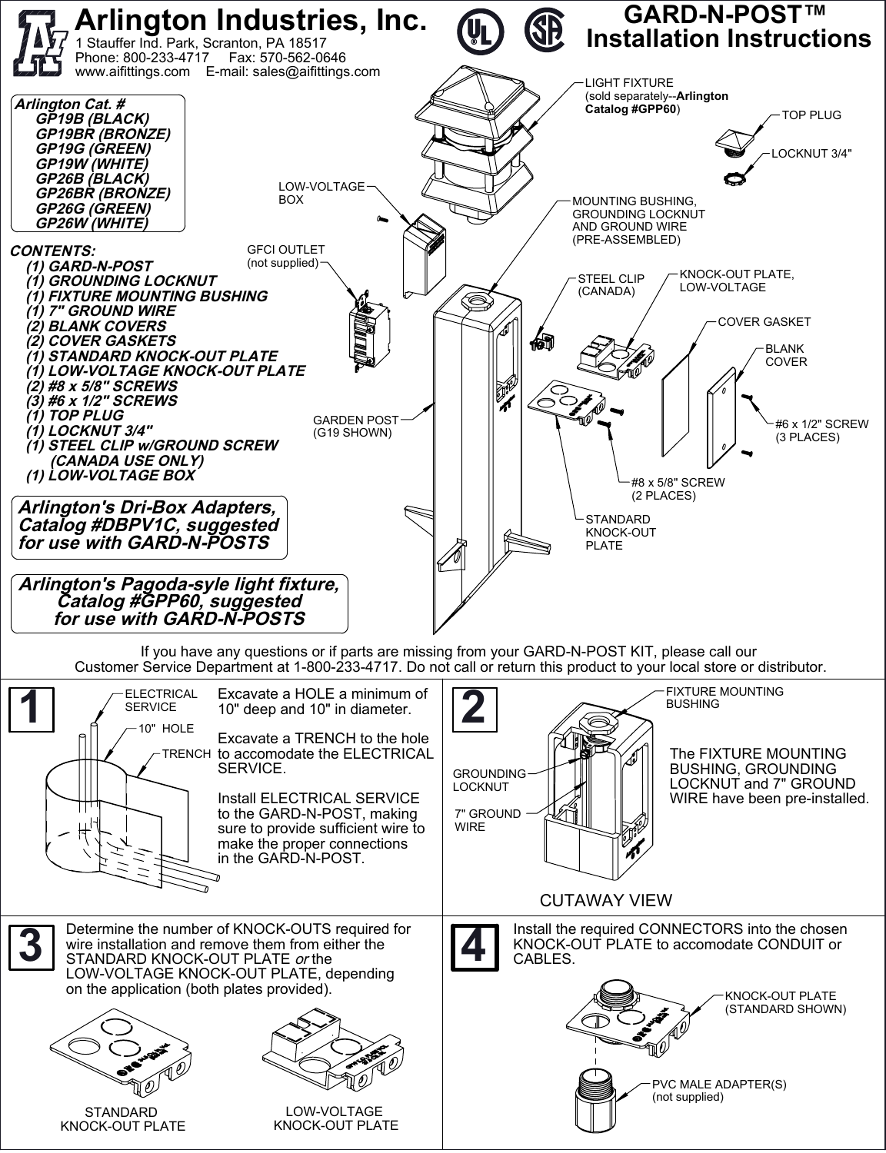